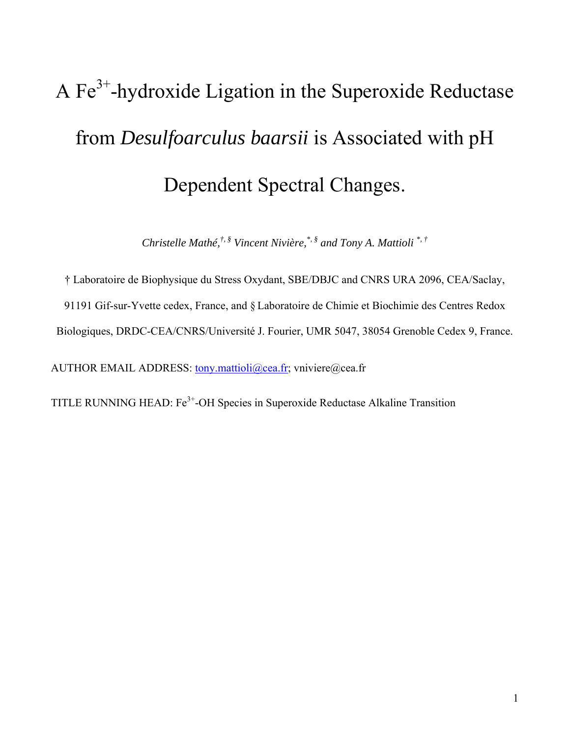# A  $Fe<sup>3+</sup>$ -hydroxide Ligation in the Superoxide Reductase from *Desulfoarculus baarsii* is Associated with pH Dependent Spectral Changes.

*Christelle Mathé,†, § Vincent Nivière,\*, § and Tony A. Mattioli \*, †*

† Laboratoire de Biophysique du Stress Oxydant, SBE/DBJC and CNRS URA 2096, CEA/Saclay,

91191 Gif-sur-Yvette cedex, France, and § Laboratoire de Chimie et Biochimie des Centres Redox

Biologiques, DRDC-CEA/CNRS/Université J. Fourier, UMR 5047, 38054 Grenoble Cedex 9, France.

AUTHOR EMAIL ADDRESS: [tony.mattioli@cea.fr](mailto:tony.mattioli@cea.fr); vniviere@cea.fr

TITLE RUNNING HEAD:  $Fe<sup>3+</sup>$ -OH Species in Superoxide Reductase Alkaline Transition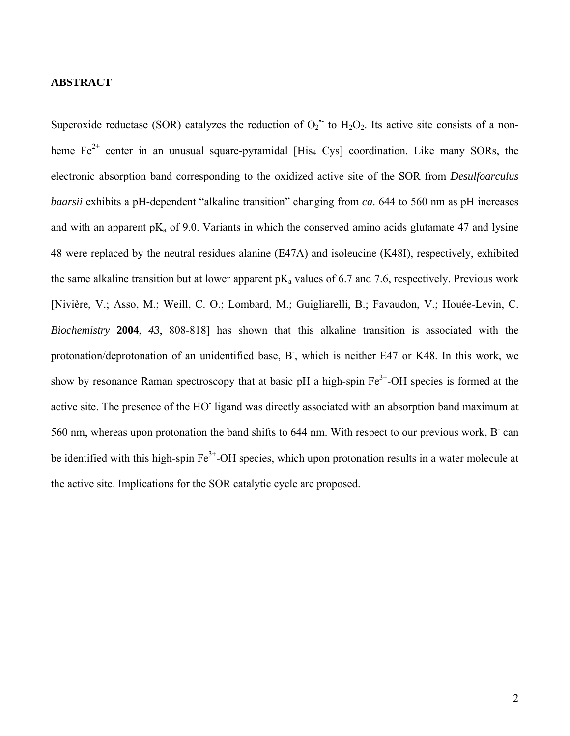## **ABSTRACT**

Superoxide reductase (SOR) catalyzes the reduction of  $O_2$  to  $H_2O_2$ . Its active site consists of a nonheme  $Fe^{2+}$  center in an unusual square-pyramidal [His<sub>4</sub> Cys] coordination. Like many SORs, the electronic absorption band corresponding to the oxidized active site of the SOR from *Desulfoarculus baarsii* exhibits a pH-dependent "alkaline transition" changing from *ca*. 644 to 560 nm as pH increases and with an apparent  $pK_a$  of 9.0. Variants in which the conserved amino acids glutamate 47 and lysine 48 were replaced by the neutral residues alanine (E47A) and isoleucine (K48I), respectively, exhibited the same alkaline transition but at lower apparent  $pK_a$  values of 6.7 and 7.6, respectively. Previous work [Nivière, V.; Asso, M.; Weill, C. O.; Lombard, M.; Guigliarelli, B.; Favaudon, V.; Houée-Levin, C. *Biochemistry* **2004**, *43*, 808-818] has shown that this alkaline transition is associated with the protonation/deprotonation of an unidentified base, B, which is neither E47 or K48. In this work, we show by resonance Raman spectroscopy that at basic pH a high-spin  $Fe<sup>3+</sup>$ -OH species is formed at the active site. The presence of the HO ligand was directly associated with an absorption band maximum at 560 nm, whereas upon protonation the band shifts to 644 nm. With respect to our previous work, B can be identified with this high-spin  $Fe<sup>3+</sup>-OH$  species, which upon protonation results in a water molecule at the active site. Implications for the SOR catalytic cycle are proposed.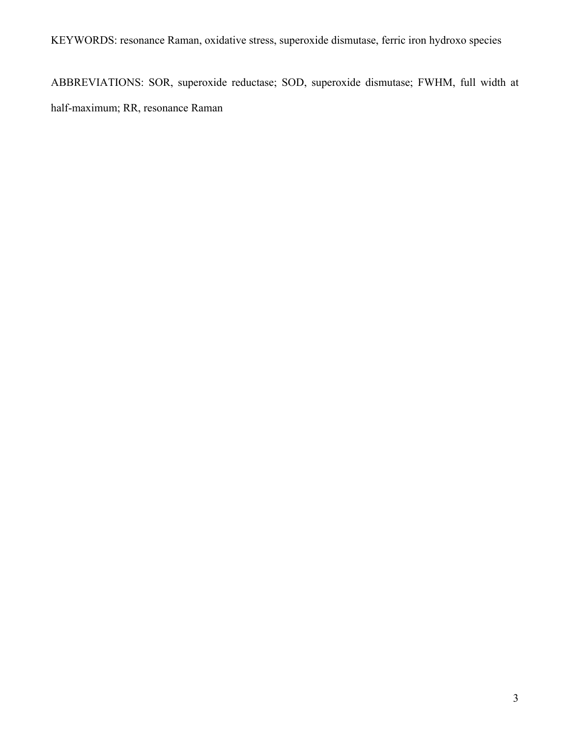KEYWORDS: resonance Raman, oxidative stress, superoxide dismutase, ferric iron hydroxo species

ABBREVIATIONS: SOR, superoxide reductase; SOD, superoxide dismutase; FWHM, full width at half-maximum; RR, resonance Raman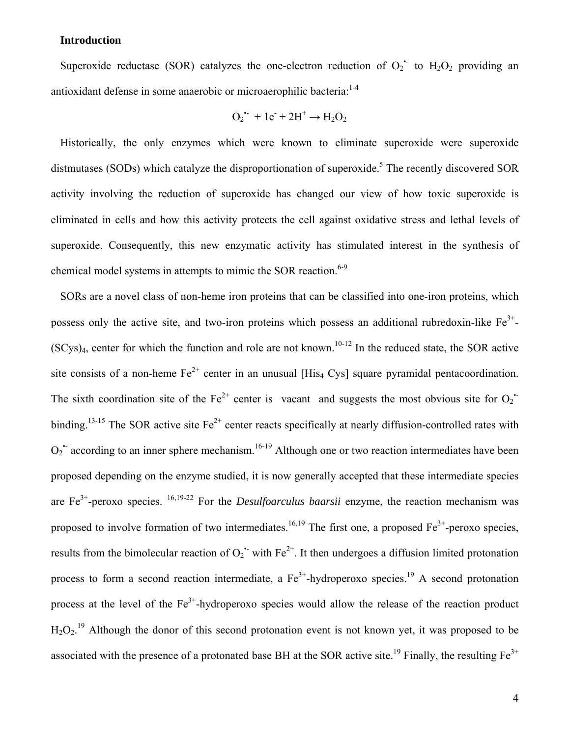## **Introduction**

Superoxide reductase (SOR) catalyzes the one-electron reduction of  $O_2$  to  $H_2O_2$  providing an antioxidant defense in some anaerobic or microaerophilic bacteria: $1-4$ 

$$
O_2^{\bullet -} + 1e^- + 2H^+ \rightarrow H_2O_2
$$

Historically, the only enzymes which were known to eliminate superoxide were superoxide distmutases (SODs) which catalyze the disproportionation of superoxide.<sup>5</sup> The recently discovered SOR activity involving the reduction of superoxide has changed our view of how toxic superoxide is eliminated in cells and how this activity protects the cell against oxidative stress and lethal levels of superoxide. Consequently, this new enzymatic activity has stimulated interest in the synthesis of chemical model systems in attempts to mimic the SOR reaction.<sup>6-9</sup>

SORs are a novel class of non-heme iron proteins that can be classified into one-iron proteins, which possess only the active site, and two-iron proteins which possess an additional rubredoxin-like  $Fe^{3+}$ - $(SCys)_4$ , center for which the function and role are not known.<sup>10-12</sup> In the reduced state, the SOR active site consists of a non-heme  $Fe^{2+}$  center in an unusual [His<sub>4</sub> Cys] square pyramidal pentacoordination. The sixth coordination site of the Fe<sup>2+</sup> center is vacant and suggests the most obvious site for  $O_2$ <sup>+</sup> binding.<sup>13-15</sup> The SOR active site  $Fe^{2+}$  center reacts specifically at nearly diffusion-controlled rates with  $O_2$ <sup>+</sup> according to an inner sphere mechanism.<sup>16-19</sup> Although one or two reaction intermediates have been proposed depending on the enzyme studied, it is now generally accepted that these intermediate species are  $Fe^{3+}$ -peroxo species. <sup>16,19-22</sup> For the *Desulfoarculus baarsii* enzyme, the reaction mechanism was proposed to involve formation of two intermediates.<sup>16,19</sup> The first one, a proposed  $Fe^{3+}$ -peroxo species, results from the bimolecular reaction of  $O_2$ <sup>+</sup> with  $Fe^{2+}$ . It then undergoes a diffusion limited protonation process to form a second reaction intermediate, a  $Fe^{3+}$ -hydroperoxo species.<sup>19</sup> A second protonation process at the level of the  $Fe<sup>3+</sup>$ -hydroperoxo species would allow the release of the reaction product  $H_2O_2$ .<sup>19</sup> Although the donor of this second protonation event is not known yet, it was proposed to be associated with the presence of a protonated base BH at the SOR active site.<sup>19</sup> Finally, the resulting  $Fe^{3+}$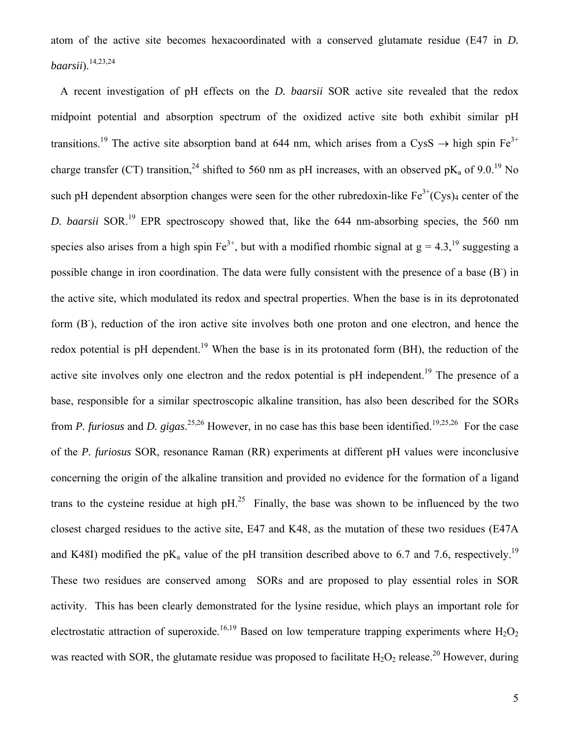atom of the active site becomes hexacoordinated with a conserved glutamate residue (E47 in *D. baarsii*).14,23,24

A recent investigation of pH effects on the *D. baarsii* SOR active site revealed that the redox midpoint potential and absorption spectrum of the oxidized active site both exhibit similar pH transitions.<sup>19</sup> The active site absorption band at 644 nm, which arises from a CysS  $\rightarrow$  high spin Fe<sup>3+</sup> charge transfer (CT) transition,<sup>24</sup> shifted to 560 nm as pH increases, with an observed pK<sub>a</sub> of 9.0.<sup>19</sup> No such pH dependent absorption changes were seen for the other rubredoxin-like  $Fe^{3+}(Cys)_4$  center of the *D. baarsii* SOR.<sup>19</sup> EPR spectroscopy showed that, like the 644 nm-absorbing species, the 560 nm species also arises from a high spin  $Fe^{3+}$ , but with a modified rhombic signal at  $g = 4.3$ , <sup>19</sup> suggesting a possible change in iron coordination. The data were fully consistent with the presence of a base (B<sup>-</sup>) in the active site, which modulated its redox and spectral properties. When the base is in its deprotonated form (B<sup>-</sup>), reduction of the iron active site involves both one proton and one electron, and hence the redox potential is pH dependent.<sup>19</sup> When the base is in its protonated form (BH), the reduction of the active site involves only one electron and the redox potential is pH independent.<sup>19</sup> The presence of a base, responsible for a similar spectroscopic alkaline transition, has also been described for the SORs from *P. furiosus* and *D. gigas*.<sup>25,26</sup> However, in no case has this base been identified.<sup>19,25,26</sup> For the case of the *P. furiosus* SOR, resonance Raman (RR) experiments at different pH values were inconclusive concerning the origin of the alkaline transition and provided no evidence for the formation of a ligand trans to the cysteine residue at high  $pH<sup>25</sup>$  Finally, the base was shown to be influenced by the two closest charged residues to the active site, E47 and K48, as the mutation of these two residues (E47A and K48I) modified the pK<sub>a</sub> value of the pH transition described above to 6.7 and 7.6, respectively.<sup>19</sup> These two residues are conserved among SORs and are proposed to play essential roles in SOR activity. This has been clearly demonstrated for the lysine residue, which plays an important role for electrostatic attraction of superoxide.<sup>16,19</sup> Based on low temperature trapping experiments where  $H_2O_2$ was reacted with SOR, the glutamate residue was proposed to facilitate  $H_2O_2$  release.<sup>20</sup> However, during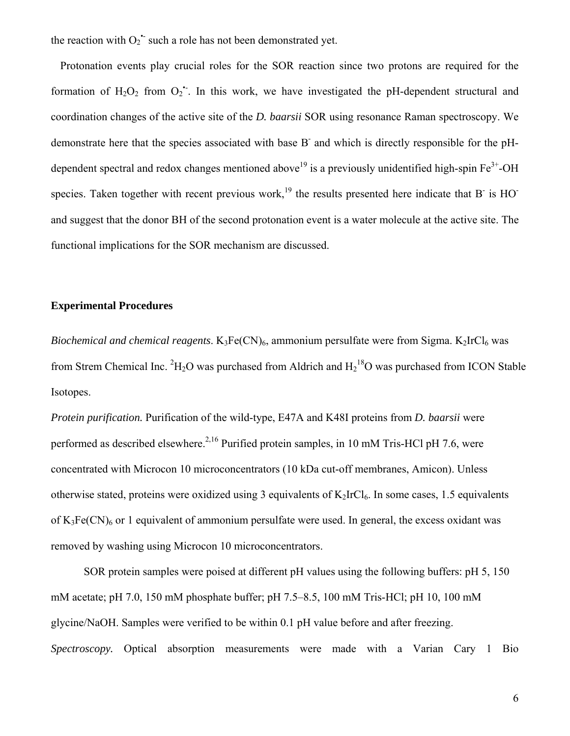the reaction with  $O_2$ <sup>+</sup> such a role has not been demonstrated yet.

Protonation events play crucial roles for the SOR reaction since two protons are required for the formation of  $H_2O_2$  from  $O_2$ . In this work, we have investigated the pH-dependent structural and coordination changes of the active site of the *D. baarsii* SOR using resonance Raman spectroscopy. We demonstrate here that the species associated with base B and which is directly responsible for the pHdependent spectral and redox changes mentioned above<sup>19</sup> is a previously unidentified high-spin  $Fe^{3+}$ -OH species. Taken together with recent previous work,<sup>19</sup> the results presented here indicate that B<sup>-</sup> is HO<sup>-</sup> and suggest that the donor BH of the second protonation event is a water molecule at the active site. The functional implications for the SOR mechanism are discussed.

## **Experimental Procedures**

*Biochemical and chemical reagents*.  $K_3Fe(CN)_6$ , ammonium persulfate were from Sigma.  $K_2IrCl_6$  was from Strem Chemical Inc.  ${}^{2}H_{2}O$  was purchased from Aldrich and  $H_{2}{}^{18}O$  was purchased from ICON Stable Isotopes.

*Protein purification.* Purification of the wild-type, E47A and K48I proteins from *D. baarsii* were performed as described elsewhere.<sup>2,16</sup> Purified protein samples, in 10 mM Tris-HCl pH 7.6, were concentrated with Microcon 10 microconcentrators (10 kDa cut-off membranes, Amicon). Unless otherwise stated, proteins were oxidized using 3 equivalents of  $K_2IrCl_6$ . In some cases, 1.5 equivalents of  $K_3Fe(CN)_6$  or 1 equivalent of ammonium persulfate were used. In general, the excess oxidant was removed by washing using Microcon 10 microconcentrators.

SOR protein samples were poised at different pH values using the following buffers: pH 5, 150 mM acetate; pH 7.0, 150 mM phosphate buffer; pH 7.5–8.5, 100 mM Tris-HCl; pH 10, 100 mM glycine/NaOH. Samples were verified to be within 0.1 pH value before and after freezing. *Spectroscopy.* Optical absorption measurements were made with a Varian Cary 1 Bio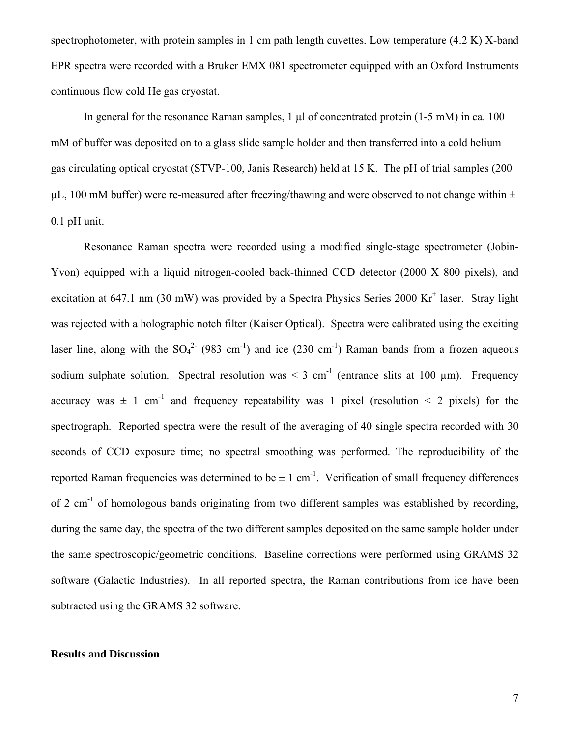spectrophotometer, with protein samples in 1 cm path length cuvettes. Low temperature (4.2 K) X-band EPR spectra were recorded with a Bruker EMX 081 spectrometer equipped with an Oxford Instruments continuous flow cold He gas cryostat.

In general for the resonance Raman samples,  $1 \mu l$  of concentrated protein (1-5 mM) in ca. 100 mM of buffer was deposited on to a glass slide sample holder and then transferred into a cold helium gas circulating optical cryostat (STVP-100, Janis Research) held at 15 K. The pH of trial samples (200  $\mu$ L, 100 mM buffer) were re-measured after freezing/thawing and were observed to not change within  $\pm$ 0.1 pH unit.

Resonance Raman spectra were recorded using a modified single-stage spectrometer (Jobin-Yvon) equipped with a liquid nitrogen-cooled back-thinned CCD detector (2000 X 800 pixels), and excitation at 647.1 nm (30 mW) was provided by a Spectra Physics Series 2000 Kr<sup>+</sup> laser. Stray light was rejected with a holographic notch filter (Kaiser Optical). Spectra were calibrated using the exciting laser line, along with the  $SO_4^2$  (983 cm<sup>-1</sup>) and ice (230 cm<sup>-1</sup>) Raman bands from a frozen aqueous sodium sulphate solution. Spectral resolution was  $\leq 3$  cm<sup>-1</sup> (entrance slits at 100  $\mu$ m). Frequency accuracy was  $\pm$  1 cm<sup>-1</sup> and frequency repeatability was 1 pixel (resolution  $\leq$  2 pixels) for the spectrograph. Reported spectra were the result of the averaging of 40 single spectra recorded with 30 seconds of CCD exposure time; no spectral smoothing was performed. The reproducibility of the reported Raman frequencies was determined to be  $\pm 1$  cm<sup>-1</sup>. Verification of small frequency differences of 2 cm<sup>-1</sup> of homologous bands originating from two different samples was established by recording, during the same day, the spectra of the two different samples deposited on the same sample holder under the same spectroscopic/geometric conditions. Baseline corrections were performed using GRAMS 32 software (Galactic Industries). In all reported spectra, the Raman contributions from ice have been subtracted using the GRAMS 32 software.

## **Results and Discussion**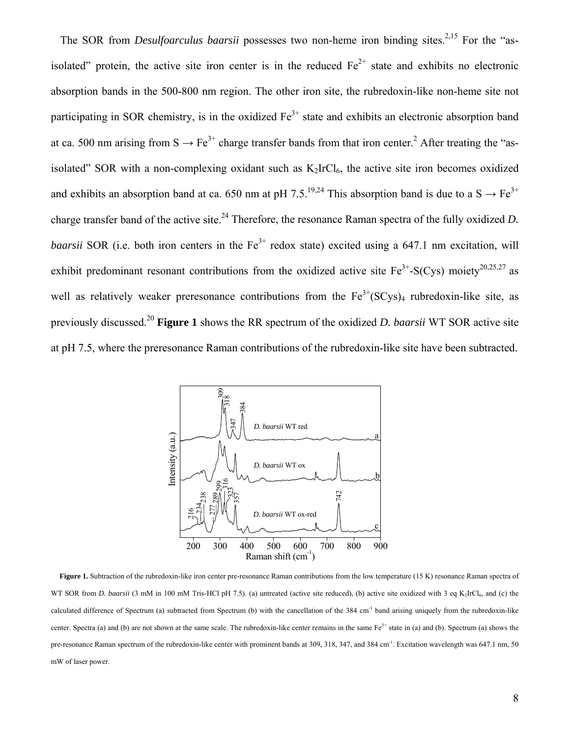The SOR from *Desulfoarculus baarsii* possesses two non-heme iron binding sites.<sup>2,15</sup> For the "asisolated" protein, the active site iron center is in the reduced  $Fe<sup>2+</sup>$  state and exhibits no electronic absorption bands in the 500-800 nm region. The other iron site, the rubredoxin-like non-heme site not participating in SOR chemistry, is in the oxidized  $Fe<sup>3+</sup>$  state and exhibits an electronic absorption band at ca. 500 nm arising from  $S \to Fe^{3+}$  charge transfer bands from that iron center.<sup>2</sup> After treating the "asisolated" SOR with a non-complexing oxidant such as  $K_2IrCl_6$ , the active site iron becomes oxidized and exhibits an absorption band at ca. 650 nm at pH 7.5.<sup>19,24</sup> This absorption band is due to a S  $\rightarrow$  Fe<sup>3+</sup> charge transfer band of the active site.<sup>24</sup> Therefore, the resonance Raman spectra of the fully oxidized *D*. *baarsii* SOR (i.e. both iron centers in the Fe<sup>3+</sup> redox state) excited using a 647.1 nm excitation, will exhibit predominant resonant contributions from the oxidized active site  $Fe^{3+}$ -S(Cys) moiety<sup>20,25,27</sup> as well as relatively weaker preresonance contributions from the  $Fe^{3+}(SCys)_4$  rubredoxin-like site, as previously discussed.20 **Figure 1** shows the RR spectrum of the oxidized *D. baarsii* WT SOR active site at pH 7.5, where the preresonance Raman contributions of the rubredoxin-like site have been subtracted.



Figure 1. Subtraction of the rubredoxin-like iron center pre-resonance Raman contributions from the low temperature (15 K) resonance Raman spectra of WT SOR from *D. baarsii* (3 mM in 100 mM Tris-HCl pH 7.5). (a) untreated (active site reduced), (b) active site oxidized with 3 eq K<sub>2</sub>IrCl<sub>6</sub>, and (c) the calculated difference of Spectrum (a) subtracted from Spectrum (b) with the cancellation of the 384 cm<sup>-1</sup> band arising uniquely from the rubredoxin-like center. Spectra (a) and (b) are not shown at the same scale. The rubredoxin-like center remains in the same  $Fe^{3+}$  state in (a) and (b). Spectrum (a) shows the pre-resonance Raman spectrum of the rubredoxin-like center with prominent bands at 309, 318, 347, and 384 cm<sup>-1</sup>. Excitation wavelength was 647.1 nm, 50 mW of laser power.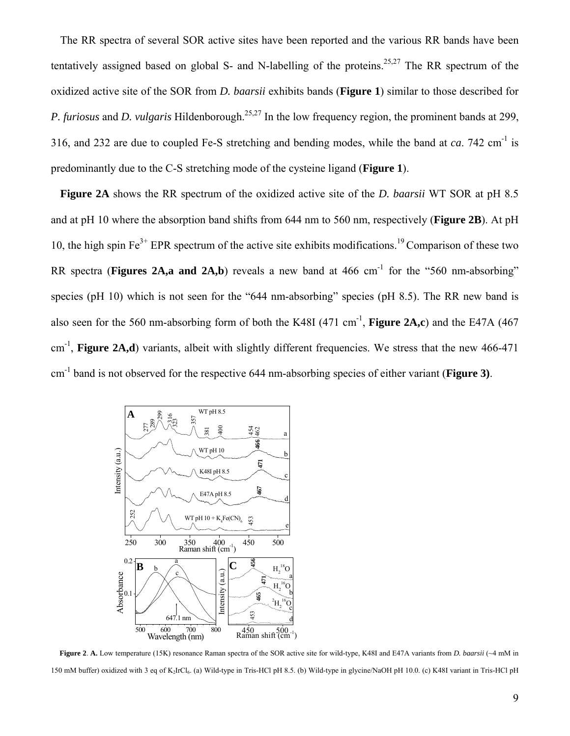The RR spectra of several SOR active sites have been reported and the various RR bands have been tentatively assigned based on global S- and N-labelling of the proteins.<sup>25,27</sup> The RR spectrum of the oxidized active site of the SOR from *D. baarsii* exhibits bands (**Figure 1**) similar to those described for *P. furiosus* and *D. vulgaris* Hildenborough.<sup>25,27</sup> In the low frequency region, the prominent bands at 299, 316, and 232 are due to coupled Fe-S stretching and bending modes, while the band at *ca*. 742 cm-1 is predominantly due to the C-S stretching mode of the cysteine ligand (**Figure 1**).

**Figure 2A** shows the RR spectrum of the oxidized active site of the *D. baarsii* WT SOR at pH 8.5 and at pH 10 where the absorption band shifts from 644 nm to 560 nm, respectively (**Figure 2B**). At pH 10, the high spin  $Fe^{3+}$  EPR spectrum of the active site exhibits modifications.<sup>19</sup> Comparison of these two RR spectra (**Figures 2A,a and 2A,b**) reveals a new band at 466 cm<sup>-1</sup> for the "560 nm-absorbing" species (pH 10) which is not seen for the "644 nm-absorbing" species (pH 8.5). The RR new band is also seen for the 560 nm-absorbing form of both the K48I  $(471 \text{ cm}^{-1})$ , **Figure 2A,c**) and the E47A  $(467 \text{ m})$  $cm^{-1}$ , **Figure 2A,d**) variants, albeit with slightly different frequencies. We stress that the new 466-471 cm -1 band is not observed for the respective 644 nm-absorbing species of either variant (**Figure 3)**.



**Figure 2**. **A.** Low temperature (15K) resonance Raman spectra of the SOR active site for wild-type, K48I and E47A variants from *D. baarsii* (~4 mM in 150 mM buffer) oxidized with 3 eq of K2IrCl6. (a) Wild-type in Tris-HCl pH 8.5. (b) Wild-type in glycine/NaOH pH 10.0. (c) K48I variant in Tris-HCl pH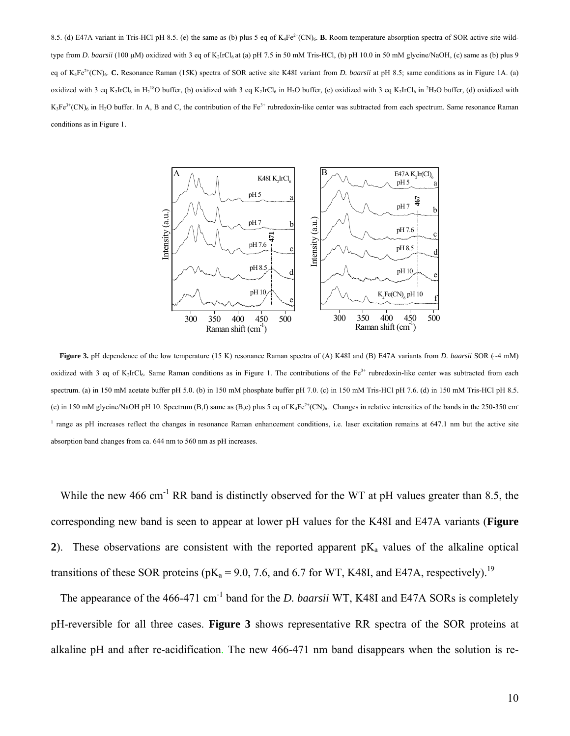8.5. (d) E47A variant in Tris-HCl pH 8.5. (e) the same as (b) plus 5 eq of K<sub>4</sub>Fe<sup>2+</sup>(CN)<sub>6</sub>. **B.** Room temperature absorption spectra of SOR active site wildtype from *D. baarsii* (100 μM) oxidized with 3 eq of K<sub>2</sub>IrCl<sub>6</sub> at (a) pH 7.5 in 50 mM Tris-HCl, (b) pH 10.0 in 50 mM glycine/NaOH, (c) same as (b) plus 9 eq of K<sub>4</sub>Fe<sup>2+</sup>(CN)<sub>6</sub>. **C.** Resonance Raman (15K) spectra of SOR active site K48I variant from *D. baarsii* at pH 8.5; same conditions as in Figure 1A. (a) oxidized with 3 eq K<sub>2</sub>IrCl<sub>6</sub> in H<sub>2</sub><sup>18</sup>O buffer, (b) oxidized with 3 eq K<sub>2</sub>IrCl<sub>6</sub> in H<sub>2</sub>O buffer, (c) oxidized with 3 eq K<sub>2</sub>IrCl<sub>6</sub> in <sup>2</sup>H<sub>2</sub>O buffer, (d) oxidized with  $K_3Fe^{3+}(CN)_6$  in H<sub>2</sub>O buffer. In A, B and C, the contribution of the Fe<sup>3+</sup> rubredoxin-like center was subtracted from each spectrum. Same resonance Raman conditions as in Figure 1.



**Figure 3.** pH dependence of the low temperature (15 K) resonance Raman spectra of (A) K48I and (B) E47A variants from *D. baarsii* SOR (~4 mM) oxidized with 3 eq of K<sub>2</sub>IrCl<sub>6</sub>. Same Raman conditions as in Figure 1. The contributions of the Fe<sup>3+</sup> rubredoxin-like center was subtracted from each spectrum. (a) in 150 mM acetate buffer pH 5.0. (b) in 150 mM phosphate buffer pH 7.0. (c) in 150 mM Tris-HCl pH 7.6. (d) in 150 mM Tris-HCl pH 8.5. (e) in 150 mM glycine/NaOH pH 10. Spectrum (B,f) same as (B,e) plus 5 eq of  $K_4Fe^{2+}(CN)_6$ . Changes in relative intensities of the bands in the 250-350 cm<sup>-</sup> <sup>1</sup> range as pH increases reflect the changes in resonance Raman enhancement conditions, i.e. laser excitation remains at 647.1 nm but the active site absorption band changes from ca. 644 nm to 560 nm as pH increases.

While the new 466 cm<sup>-1</sup> RR band is distinctly observed for the WT at pH values greater than 8.5, the corresponding new band is seen to appear at lower pH values for the K48I and E47A variants (**Figure**  2). These observations are consistent with the reported apparent  $pK_a$  values of the alkaline optical transitions of these SOR proteins ( $pK_a = 9.0$ , 7.6, and 6.7 for WT, K48I, and E47A, respectively).<sup>19</sup>

The appearance of the 466-471 cm<sup>-1</sup> band for the *D. baarsii* WT, K48I and E47A SORs is completely pH-reversible for all three cases. **Figure 3** shows representative RR spectra of the SOR proteins at alkaline pH and after re-acidification. The new 466-471 nm band disappears when the solution is re-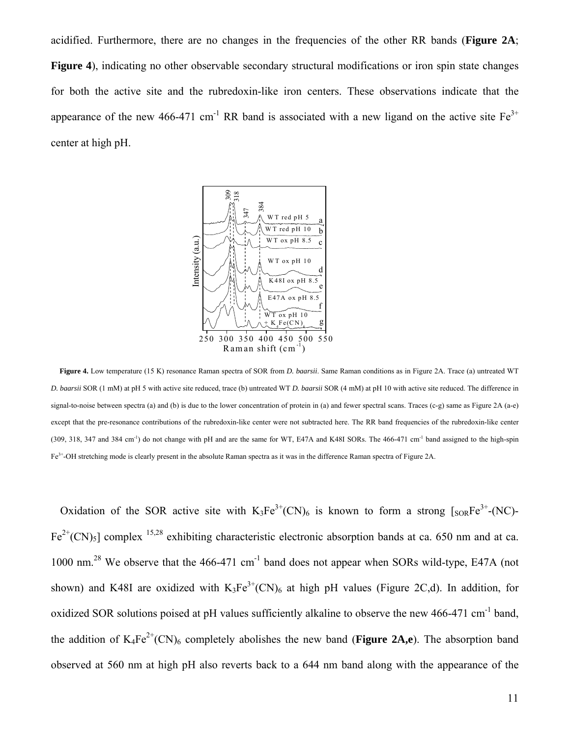acidified. Furthermore, there are no changes in the frequencies of the other RR bands (**Figure 2A**; **Figure 4**), indicating no other observable secondary structural modifications or iron spin state changes for both the active site and the rubredoxin-like iron centers. These observations indicate that the appearance of the new 466-471 cm<sup>-1</sup> RR band is associated with a new ligand on the active site  $Fe^{3+}$ center at high pH.



**Figure 4.** Low temperature (15 K) resonance Raman spectra of SOR from *D. baarsii*. Same Raman conditions as in Figure 2A. Trace (a) untreated WT *D. baarsii* SOR (1 mM) at pH 5 with active site reduced, trace (b) untreated WT *D. baarsii* SOR (4 mM) at pH 10 with active site reduced. The difference in signal-to-noise between spectra (a) and (b) is due to the lower concentration of protein in (a) and fewer spectral scans. Traces (c-g) same as Figure 2A (a-e) except that the pre-resonance contributions of the rubredoxin-like center were not subtracted here. The RR band frequencies of the rubredoxin-like center  $(309, 318, 347 \text{ and } 384 \text{ cm}^{-1})$  do not change with pH and are the same for WT, E47A and K48I SORs. The 466-471 cm<sup>-1</sup> band assigned to the high-spin Fe3+-OH stretching mode is clearly present in the absolute Raman spectra as it was in the difference Raman spectra of Figure 2A.

Oxidation of the SOR active site with  $K_3Fe^{3+}(CN)_6$  is known to form a strong  $\lceil_{SOR}Fe^{3+}-(NC)\rceil$ - $Fe^{2+}(CN)_5$ ] complex <sup>15,28</sup> exhibiting characteristic electronic absorption bands at ca. 650 nm and at ca. 1000 nm.<sup>28</sup> We observe that the 466-471 cm<sup>-1</sup> band does not appear when SORs wild-type, E47A (not shown) and K48I are oxidized with  $K_3Fe^{3+}(CN)_6$  at high pH values (Figure 2C,d). In addition, for oxidized SOR solutions poised at pH values sufficiently alkaline to observe the new 466-471 cm<sup>-1</sup> band, the addition of  $K_4Fe^{2+}(CN)_6$  completely abolishes the new band (**Figure 2A,e**). The absorption band observed at 560 nm at high pH also reverts back to a 644 nm band along with the appearance of the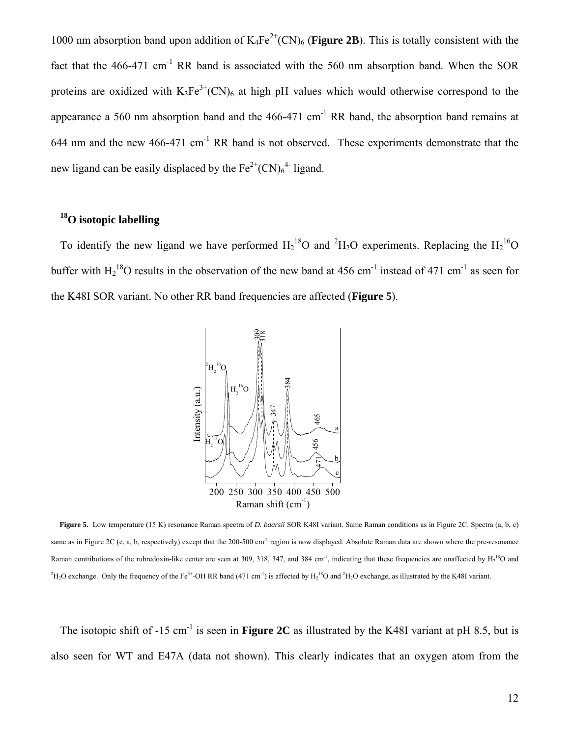1000 nm absorption band upon addition of  $K_4Fe^{2+}(CN)_6$  (**Figure 2B**). This is totally consistent with the fact that the 466-471 cm<sup>-1</sup> RR band is associated with the 560 nm absorption band. When the SOR proteins are oxidized with  $K_3Fe^{3+}(CN)_6$  at high pH values which would otherwise correspond to the appearance a 560 nm absorption band and the  $466-471$  cm<sup>-1</sup> RR band, the absorption band remains at 644 nm and the new 466-471 cm<sup>-1</sup> RR band is not observed. These experiments demonstrate that the new ligand can be easily displaced by the  $Fe^{2+}(CN)_6^{4-}$  ligand.

# **18O isotopic labelling**

To identify the new ligand we have performed  $H_2^{18}O$  and <sup>2</sup> $H_2O$  experiments. Replacing the  $H_2^{16}O$ buffer with  $H_2^{18}$ O results in the observation of the new band at 456 cm<sup>-1</sup> instead of 471 cm<sup>-1</sup> as seen for the K48I SOR variant. No other RR band frequencies are affected (**Figure 5**).



**Figure 5.** Low temperature (15 K) resonance Raman spectra of *D. baarsii* SOR K48I variant. Same Raman conditions as in Figure 2C. Spectra (a, b, c) same as in Figure 2C (c, a, b, respectively) except that the 200-500 cm<sup>-1</sup> region is now displayed. Absolute Raman data are shown where the pre-resonance Raman contributions of the rubredoxin-like center are seen at 309, 318, 347, and 384 cm<sup>-1</sup>, indicating that these frequencies are unaffected by  $H_2^{18}O$  and <sup>2</sup>H<sub>2</sub>O exchange. Only the frequency of the Fe<sup>3+</sup>-OH RR band (471 cm<sup>-1</sup>) is affected by  $H_2$ <sup>18</sup>O and <sup>2</sup>H<sub>2</sub>O exchange, as illustrated by the K48I variant.

The isotopic shift of  $-15$  cm<sup>-1</sup> is seen in **Figure 2C** as illustrated by the K48I variant at pH 8.5, but is also seen for WT and E47A (data not shown). This clearly indicates that an oxygen atom from the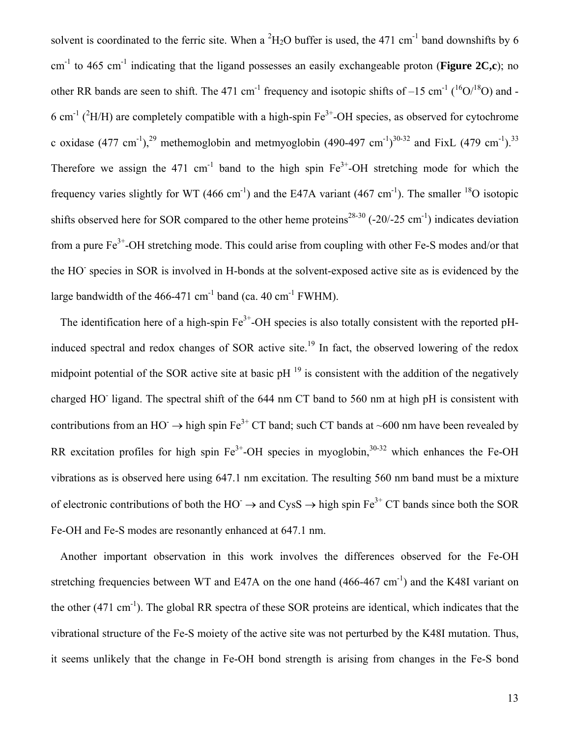solvent is coordinated to the ferric site. When a  ${}^{2}H_{2}O$  buffer is used, the 471 cm<sup>-1</sup> band downshifts by 6  $cm<sup>-1</sup>$  to 465 cm<sup>-1</sup> indicating that the ligand possesses an easily exchangeable proton (**Figure 2C**,c); no other RR bands are seen to shift. The 471 cm<sup>-1</sup> frequency and isotopic shifts of  $-15$  cm<sup>-1</sup> (<sup>16</sup>O/<sup>18</sup>O) and -6 cm<sup>-1</sup> (<sup>2</sup>H/H) are completely compatible with a high-spin Fe<sup>3+</sup>-OH species, as observed for cytochrome c oxidase (477 cm<sup>-1</sup>),<sup>29</sup> methemoglobin and metmyoglobin (490-497 cm<sup>-1</sup>)<sup>30-32</sup> and FixL (479 cm<sup>-1</sup>).<sup>33</sup> Therefore we assign the 471 cm<sup>-1</sup> band to the high spin  $Fe^{3+}$ -OH stretching mode for which the frequency varies slightly for WT (466 cm<sup>-1</sup>) and the E47A variant (467 cm<sup>-1</sup>). The smaller <sup>18</sup>O isotopic shifts observed here for SOR compared to the other heme proteins<sup>28-30</sup> (-20/-25 cm<sup>-1</sup>) indicates deviation from a pure Fe<sup>3+</sup>-OH stretching mode. This could arise from coupling with other Fe-S modes and/or that the HO<sup>-</sup> species in SOR is involved in H-bonds at the solvent-exposed active site as is evidenced by the large bandwidth of the  $466-471$  cm<sup>-1</sup> band (ca.  $40 \text{ cm}^{-1}$  FWHM).

The identification here of a high-spin  $Fe<sup>3+</sup>-OH$  species is also totally consistent with the reported pHinduced spectral and redox changes of SOR active site.<sup>19</sup> In fact, the observed lowering of the redox midpoint potential of the SOR active site at basic  $pH<sup>19</sup>$  is consistent with the addition of the negatively charged HO<sup>-</sup> ligand. The spectral shift of the 644 nm CT band to 560 nm at high pH is consistent with contributions from an HO  $\rightarrow$  high spin Fe<sup>3+</sup> CT band; such CT bands at ~600 nm have been revealed by RR excitation profiles for high spin  $Fe^{3+}$ -OH species in myoglobin,  $30-32$  which enhances the Fe-OH vibrations as is observed here using 647.1 nm excitation. The resulting 560 nm band must be a mixture of electronic contributions of both the HO<sup> $\rightarrow$ </sup> and CysS  $\rightarrow$  high spin Fe<sup>3+</sup> CT bands since both the SOR Fe-OH and Fe-S modes are resonantly enhanced at 647.1 nm.

Another important observation in this work involves the differences observed for the Fe-OH stretching frequencies between WT and E47A on the one hand  $(466-467 \text{ cm}^{-1})$  and the K48I variant on the other  $(471 \text{ cm}^{-1})$ . The global RR spectra of these SOR proteins are identical, which indicates that the vibrational structure of the Fe-S moiety of the active site was not perturbed by the K48I mutation. Thus, it seems unlikely that the change in Fe-OH bond strength is arising from changes in the Fe-S bond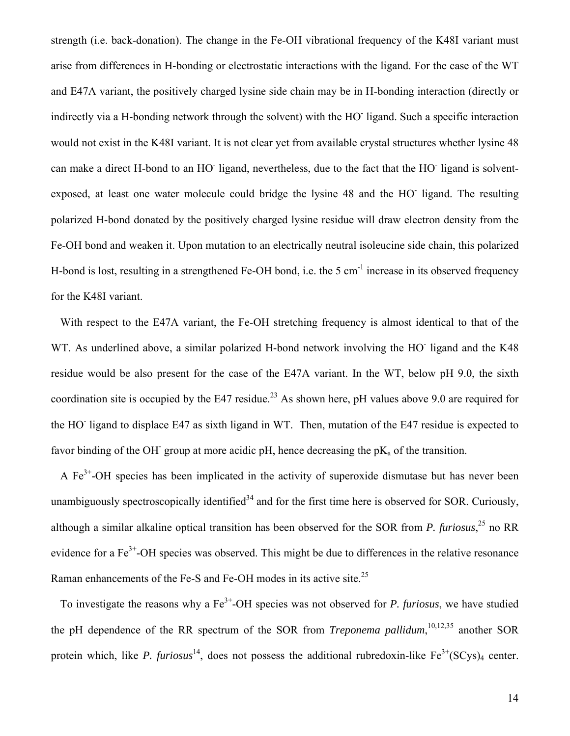strength (i.e. back-donation). The change in the Fe-OH vibrational frequency of the K48I variant must arise from differences in H-bonding or electrostatic interactions with the ligand. For the case of the WT and E47A variant, the positively charged lysine side chain may be in H-bonding interaction (directly or indirectly via a H-bonding network through the solvent) with the HO ligand. Such a specific interaction would not exist in the K48I variant. It is not clear yet from available crystal structures whether lysine 48 can make a direct H-bond to an HO ligand, nevertheless, due to the fact that the HO ligand is solventexposed, at least one water molecule could bridge the lysine 48 and the HO ligand. The resulting polarized H-bond donated by the positively charged lysine residue will draw electron density from the Fe-OH bond and weaken it. Upon mutation to an electrically neutral isoleucine side chain, this polarized H-bond is lost, resulting in a strengthened Fe-OH bond, i.e. the 5 cm<sup>-1</sup> increase in its observed frequency for the K48I variant.

With respect to the E47A variant, the Fe-OH stretching frequency is almost identical to that of the WT. As underlined above, a similar polarized H-bond network involving the HO ligand and the K48 residue would be also present for the case of the E47A variant. In the WT, below pH 9.0, the sixth coordination site is occupied by the E47 residue.<sup>23</sup> As shown here, pH values above 9.0 are required for the HO<sup>-</sup> ligand to displace E47 as sixth ligand in WT. Then, mutation of the E47 residue is expected to favor binding of the OH<sup>-</sup> group at more acidic pH, hence decreasing the  $pK_a$  of the transition.

A Fe3+-OH species has been implicated in the activity of superoxide dismutase but has never been unambiguously spectroscopically identified<sup>34</sup> and for the first time here is observed for SOR. Curiously, although a similar alkaline optical transition has been observed for the SOR from *P. furiosus*, 25 no RR evidence for a Fe<sup>3+</sup>-OH species was observed. This might be due to differences in the relative resonance Raman enhancements of the Fe-S and Fe-OH modes in its active site.<sup>25</sup>

To investigate the reasons why a Fe<sup>3+</sup>-OH species was not observed for *P. furiosus*, we have studied the pH dependence of the RR spectrum of the SOR from *Treponema pallidum*, 10,12,35 another SOR protein which, like P. furiosus<sup>14</sup>, does not possess the additional rubredoxin-like  $Fe^{3+}(SCys)_4$  center.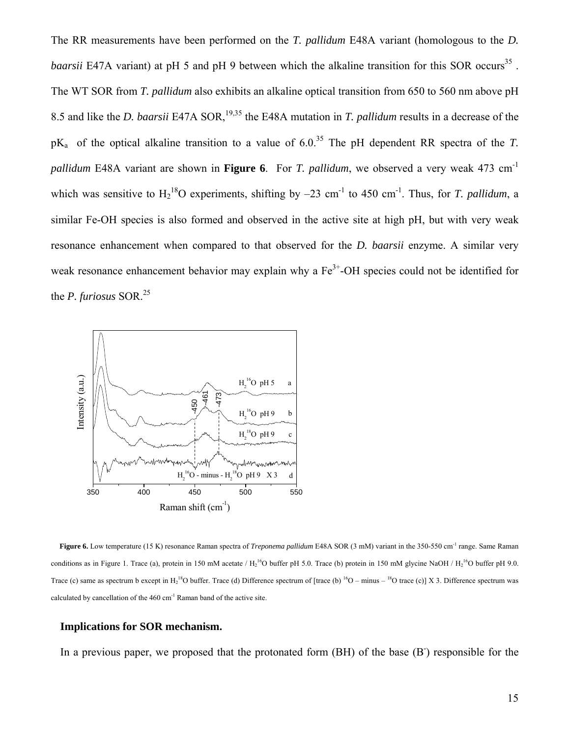The RR measurements have been performed on the *T. pallidum* E48A variant (homologous to the *D. baarsii* E47A variant) at pH 5 and pH 9 between which the alkaline transition for this SOR occurs<sup>35</sup>. The WT SOR from *T. pallidum* also exhibits an alkaline optical transition from 650 to 560 nm above pH 8.5 and like the *D. baarsii* E47A SOR,<sup>19,35</sup> the E48A mutation in *T. pallidum* results in a decrease of the  $pK_a$  of the optical alkaline transition to a value of 6.0<sup>35</sup> The pH dependent RR spectra of the *T*. *pallidum* E48A variant are shown in **Figure 6**. For *T. pallidum*, we observed a very weak 473 cm-1 which was sensitive to  $H_2^{18}O$  experiments, shifting by  $-23$  cm<sup>-1</sup> to 450 cm<sup>-1</sup>. Thus, for *T. pallidum*, a similar Fe-OH species is also formed and observed in the active site at high pH, but with very weak resonance enhancement when compared to that observed for the *D. baarsii* enzyme. A similar very weak resonance enhancement behavior may explain why a  $Fe<sup>3+</sup>-OH$  species could not be identified for the *P. furiosus* SOR.<sup>25</sup>



**Figure 6.** Low temperature (15 K) resonance Raman spectra of *Treponema pallidum* E48A SOR (3 mM) variant in the 350-550 cm-1 range. Same Raman conditions as in Figure 1. Trace (a), protein in 150 mM acetate  $/ H_2^{16}O$  buffer pH 5.0. Trace (b) protein in 150 mM glycine NaOH  $/ H_2^{16}O$  buffer pH 9.0. Trace (c) same as spectrum b except in  $H_2^{18}O$  buffer. Trace (d) Difference spectrum of [trace (b)  $^{16}O$  – minus –  $^{18}O$  trace (c)] X 3. Difference spectrum was calculated by cancellation of the 460 cm-1 Raman band of the active site.

#### **Implications for SOR mechanism.**

In a previous paper, we proposed that the protonated form (BH) of the base (B<sup>-</sup>) responsible for the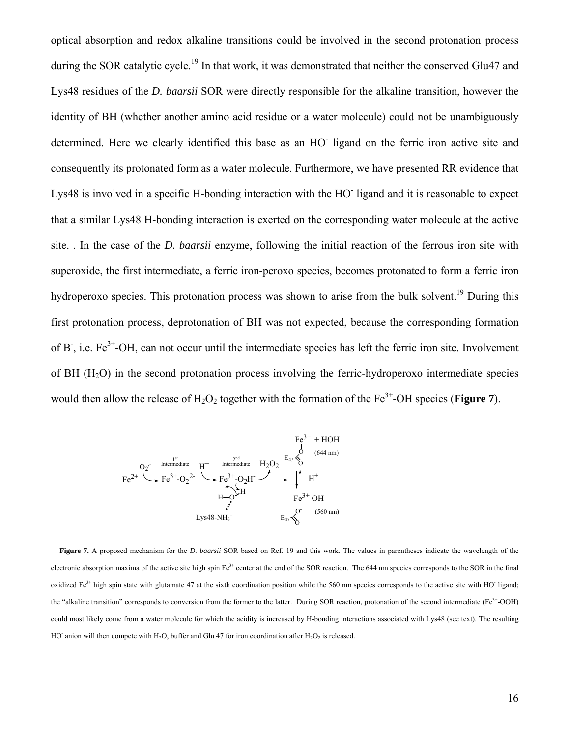optical absorption and redox alkaline transitions could be involved in the second protonation process during the SOR catalytic cycle.<sup>19</sup> In that work, it was demonstrated that neither the conserved Glu47 and Lys48 residues of the *D. baarsii* SOR were directly responsible for the alkaline transition, however the identity of BH (whether another amino acid residue or a water molecule) could not be unambiguously determined. Here we clearly identified this base as an HO<sup>-</sup> ligand on the ferric iron active site and consequently its protonated form as a water molecule. Furthermore, we have presented RR evidence that Lys48 is involved in a specific H-bonding interaction with the HO ligand and it is reasonable to expect that a similar Lys48 H-bonding interaction is exerted on the corresponding water molecule at the active site. . In the case of the *D. baarsii* enzyme, following the initial reaction of the ferrous iron site with superoxide, the first intermediate, a ferric iron-peroxo species, becomes protonated to form a ferric iron hydroperoxo species. This protonation process was shown to arise from the bulk solvent.<sup>19</sup> During this first protonation process, deprotonation of BH was not expected, because the corresponding formation of B, i.e.  $Fe^{3+}$ -OH, can not occur until the intermediate species has left the ferric iron site. Involvement of BH  $(H<sub>2</sub>O)$  in the second protonation process involving the ferric-hydroperoxo intermediate species would then allow the release of  $H_2O_2$  together with the formation of the  $Fe^{3+}$ -OH species (**Figure 7**).



**Figure 7.** A proposed mechanism for the *D. baarsii* SOR based on Ref. 19 and this work. The values in parentheses indicate the wavelength of the electronic absorption maxima of the active site high spin  $Fe^{3+}$  center at the end of the SOR reaction. The 644 nm species corresponds to the SOR in the final oxidized  $Fe<sup>3+</sup>$  high spin state with glutamate 47 at the sixth coordination position while the 560 nm species corresponds to the active site with HO ligand; the "alkaline transition" corresponds to conversion from the former to the latter. During SOR reaction, protonation of the second intermediate (Fe<sup>3+</sup>-OOH) could most likely come from a water molecule for which the acidity is increased by H-bonding interactions associated with Lys48 (see text). The resulting HO<sup>-</sup> anion will then compete with H<sub>2</sub>O, buffer and Glu 47 for iron coordination after H<sub>2</sub>O<sub>2</sub> is released.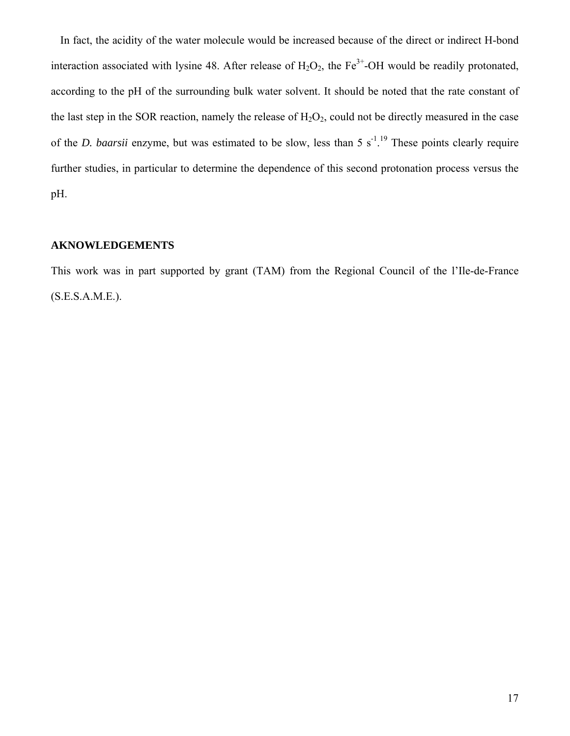In fact, the acidity of the water molecule would be increased because of the direct or indirect H-bond interaction associated with lysine 48. After release of  $H_2O_2$ , the Fe<sup>3+</sup>-OH would be readily protonated, according to the pH of the surrounding bulk water solvent. It should be noted that the rate constant of the last step in the SOR reaction, namely the release of  $H_2O_2$ , could not be directly measured in the case of the *D. baarsii* enzyme, but was estimated to be slow, less than 5  $s^{-1}$ .<sup>19</sup> These points clearly require further studies, in particular to determine the dependence of this second protonation process versus the pH.

## **AKNOWLEDGEMENTS**

This work was in part supported by grant (TAM) from the Regional Council of the l'Ile-de-France (S.E.S.A.M.E.).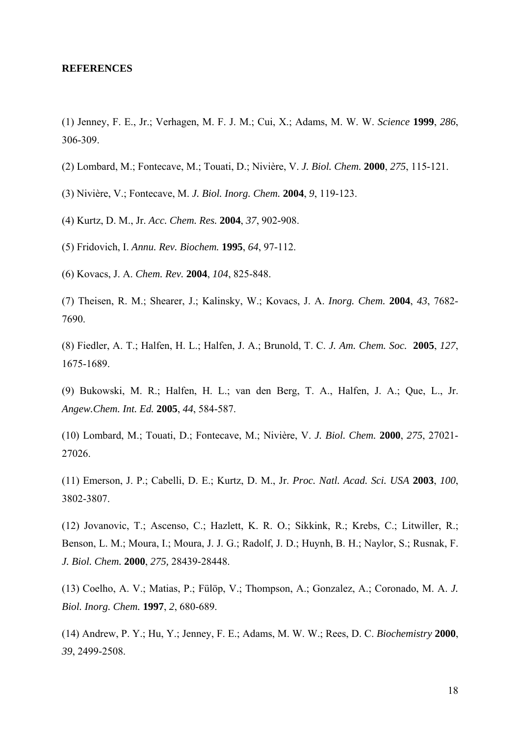#### **REFERENCES**

(1) Jenney, F. E., Jr.; Verhagen, M. F. J. M.; Cui, X.; Adams, M. W. W. *Science* **1999**, *286*, 306-309.

- (2) Lombard, M.; Fontecave, M.; Touati, D.; Nivière, V. *J. Biol. Chem.* **2000**, *275*, 115-121.
- (3) Nivière, V.; Fontecave, M. *J. Biol. Inorg. Chem.* **2004**, *9*, 119-123.
- (4) Kurtz, D. M., Jr. *Acc. Chem. Res.* **2004**, *37*, 902-908.

(5) Fridovich, I. *Annu. Rev. Biochem.* **1995**, *64*, 97-112.

(6) Kovacs, J. A. *Chem. Rev.* **2004**, *104*, 825-848.

(7) Theisen, R. M.; Shearer, J.; Kalinsky, W.; Kovacs, J. A. *Inorg. Chem.* **2004**, *43*, 7682- 7690.

(8) Fiedler, A. T.; Halfen, H. L.; Halfen, J. A.; Brunold, T. C. *J. Am. Chem. Soc.* **2005**, *127*, 1675-1689.

(9) Bukowski, M. R.; Halfen, H. L.; van den Berg, T. A., Halfen, J. A.; Que, L., Jr. *Angew.Chem. Int. Ed.* **2005**, *44*, 584-587.

(10) Lombard, M.; Touati, D.; Fontecave, M.; Nivière, V. *J. Biol. Chem.* **2000**, *275*, 27021- 27026.

(11) Emerson, J. P.; Cabelli, D. E.; Kurtz, D. M., Jr. *Proc. Natl. Acad. Sci. USA* **2003**, *100*, 3802-3807.

(12) Jovanovic, T.; Ascenso, C.; Hazlett, K. R. O.; Sikkink, R.; Krebs, C.; Litwiller, R.; Benson, L. M.; Moura, I.; Moura, J. J. G.; Radolf, J. D.; Huynh, B. H.; Naylor, S.; Rusnak, F. *J. Biol. Chem.* **2000**, *275,* 28439-28448.

(13) Coelho, A. V.; Matias, P.; Fülöp, V.; Thompson, A.; Gonzalez, A.; Coronado, M. A. *J. Biol. Inorg. Chem.* **1997**, *2*, 680-689.

(14) Andrew, P. Y.; Hu, Y.; Jenney, F. E.; Adams, M. W. W.; Rees, D. C. *Biochemistry* **2000**, *39*, 2499-2508.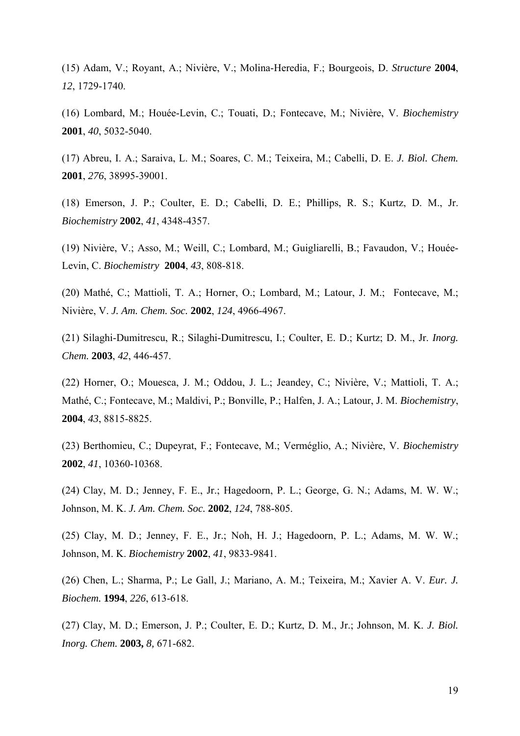(15) Adam, V.; Royant, A.; Nivière, V.; Molina-Heredia, F.; Bourgeois, D. *Structure* **2004**, *12*, 1729-1740.

(16) Lombard, M.; Houée-Levin, C.; Touati, D.; Fontecave, M.; Nivière, V. *Biochemistry* **2001**, *40*, 5032-5040.

(17) Abreu, I. A.; Saraiva, L. M.; Soares, C. M.; Teixeira, M.; Cabelli, D. E. *J. Biol. Chem.*  **2001**, *276*, 38995-39001.

(18) Emerson, J. P.; Coulter, E. D.; Cabelli, D. E.; Phillips, R. S.; Kurtz, D. M., Jr. *Biochemistry* **2002**, *41*, 4348-4357.

(19) Nivière, V.; Asso, M.; Weill, C.; Lombard, M.; Guigliarelli, B.; Favaudon, V.; Houée-Levin, C. *Biochemistry* **2004**, *43*, 808-818.

(20) Mathé, C.; Mattioli, T. A.; Horner, O.; Lombard, M.; Latour, J. M.; Fontecave, M.; Nivière, V. *J. Am. Chem. Soc.* **2002**, *124*, 4966-4967.

(21) Silaghi-Dumitrescu, R.; Silaghi-Dumitrescu, I.; Coulter, E. D.; Kurtz; D. M., Jr. *Inorg. Chem.* **2003**, *42*, 446-457.

(22) Horner, O.; Mouesca, J. M.; Oddou, J. L.; Jeandey, C.; Nivière, V.; Mattioli, T. A.; Mathé, C.; Fontecave, M.; Maldivi, P.; Bonville, P.; Halfen, J. A.; Latour, J. M. *Biochemistry*, **2004**, *43*, 8815-8825.

(23) Berthomieu, C.; Dupeyrat, F.; Fontecave, M.; Verméglio, A.; Nivière, V. *Biochemistry*  **2002**, *41*, 10360-10368.

(24) Clay, M. D.; Jenney, F. E., Jr.; Hagedoorn, P. L.; George, G. N.; Adams, M. W. W.; Johnson, M. K. *J. Am. Chem. Soc.* **2002**, *124*, 788-805.

(25) Clay, M. D.; Jenney, F. E., Jr.; Noh, H. J.; Hagedoorn, P. L.; Adams, M. W. W.; Johnson, M. K. *Biochemistry* **2002**, *41*, 9833-9841.

(26) Chen, L.; Sharma, P.; Le Gall, J.; Mariano, A. M.; Teixeira, M.; Xavier A. V. *Eur. J. Biochem.* **1994**, *226*, 613-618.

(27) Clay, M. D.; Emerson, J. P.; Coulter, E. D.; Kurtz, D. M., Jr.; Johnson, M. K. *J. Biol. Inorg. Chem.* **2003,** *8,* 671-682.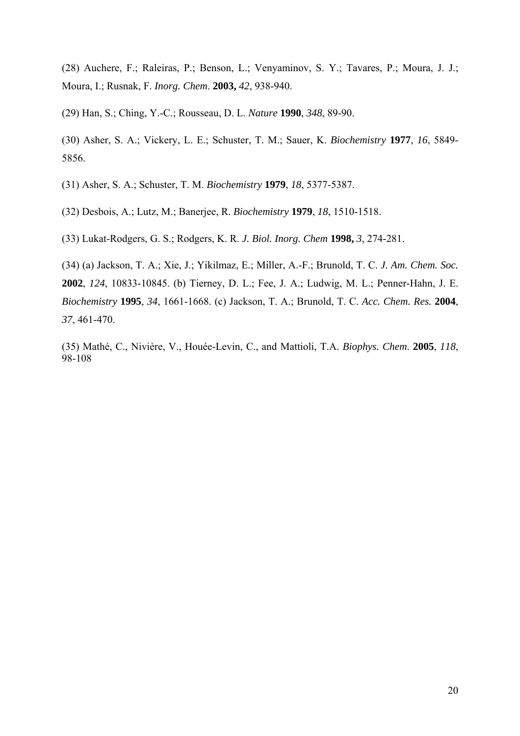(28) Auchere, F.; Raleiras, P.; Benson, L.; Venyaminov, S. Y.; Tavares, P.; Moura, J. J.; Moura, I.; Rusnak, F. *Inorg. Chem*. **2003,** *42*, 938-940.

(29) Han, S.; Ching, Y.-C.; Rousseau, D. L. *Nature* **1990**, *348*, 89-90.

(30) Asher, S. A.; Vickery, L. E.; Schuster, T. M.; Sauer, K. *Biochemistry* **1977**, *16*, 5849- 5856.

(31) Asher, S. A.; Schuster, T. M. *Biochemistry* **1979**, *18*, 5377-5387.

(32) Desbois, A.; Lutz, M.; Banerjee, R. *Biochemistry* **1979**, *18*, 1510-1518.

(33) Lukat-Rodgers, G. S.; Rodgers, K. R. *J. Biol. Inorg. Chem* **1998,** *3*, 274-281.

(34) (a) Jackson, T. A.; Xie, J.; Yikilmaz, E.; Miller, A.-F.; Brunold, T. C. *J. Am. Chem. Soc.*  **2002**, *124*, 10833-10845. (b) Tierney, D. L.; Fee, J. A.; Ludwig, M. L.; Penner-Hahn, J. E. *Biochemistry* **1995**, *34*, 1661-1668. (c) Jackson, T. A.; Brunold, T. C. *Acc. Chem. Res.* **2004**, *37*, 461-470.

(35) Mathé, C., Nivière, V., Houée-Levin, C., and Mattioli, T.A. *Biophys. Chem*. **2005**, *118*, 98-108